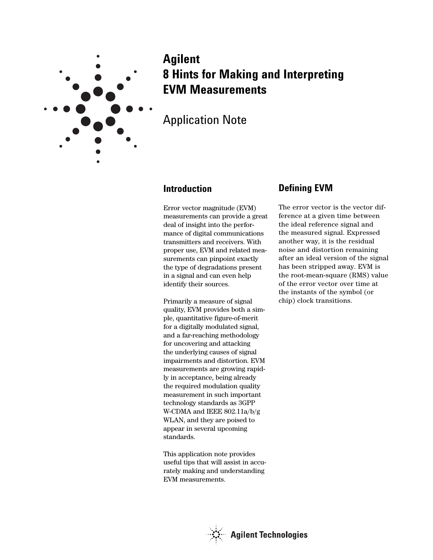

# **Agilent 8 Hints for Making and Interpreting EVM Measurements**

Application Note

### **Introduction**

Error vector magnitude (EVM) measurements can provide a great deal of insight into the performance of digital communications transmitters and receivers. With proper use, EVM and related measurements can pinpoint exactly the type of degradations present in a signal and can even help identify their sources.

Primarily a measure of signal quality, EVM provides both a simple, quantitative figure-of-merit for a digitally modulated signal, and a far-reaching methodology for uncovering and attacking the underlying causes of signal impairments and distortion. EVM measurements are growing rapidly in acceptance, being already the required modulation quality measurement in such important technology standards as 3GPP W-CDMA and IEEE 802.11a/b/g WLAN, and they are poised to appear in several upcoming standards.

This application note provides useful tips that will assist in accurately making and understanding EVM measurements.

### **Defining EVM**

The error vector is the vector difference at a given time between the ideal reference signal and the measured signal. Expressed another way, it is the residual noise and distortion remaining after an ideal version of the signal has been stripped away. EVM is the root-mean-square (RMS) value of the error vector over time at the instants of the symbol (or chip) clock transitions.

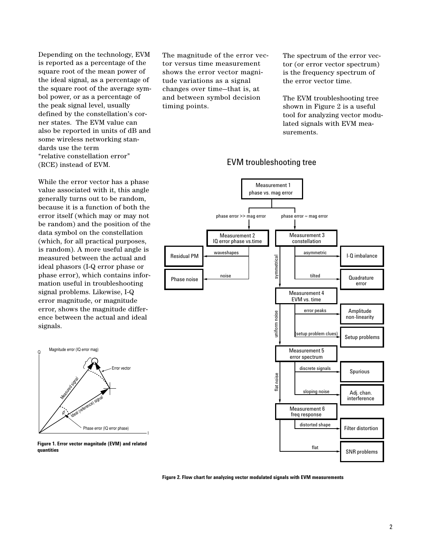Depending on the technology, EVM is reported as a percentage of the square root of the mean power of the ideal signal, as a percentage of the square root of the average symbol power, or as a percentage of the peak signal level, usually defined by the constellation's corner states. The EVM value can also be reported in units of dB and some wireless networking standards use the term "relative constellation error" (RCE) instead of EVM.

While the error vector has a phase value associated with it, this angle generally turns out to be random, because it is a function of both the error itself (which may or may not be random) and the position of the data symbol on the constellation (which, for all practical purposes, is random). A more useful angle is measured between the actual and ideal phasors (I-Q error phase or phase error), which contains information useful in troubleshooting signal problems. Likewise, I-Q error magnitude, or magnitude error, shows the magnitude difference between the actual and ideal signals.



**Figure 1. Error vector magnitude (EVM) and related quantities**

The magnitude of the error vector versus time measurement shows the error vector magnitude variations as a signal changes over time—that is, at and between symbol decision timing points.

The spectrum of the error vector (or error vector spectrum) is the frequency spectrum of the error vector time.

The EVM troubleshooting tree shown in Figure 2 is a useful tool for analyzing vector modulated signals with EVM measurements.

#### EVM troubleshooting tree



**Figure 2. Flow chart for analyzing vector modulated signals with EVM measurements**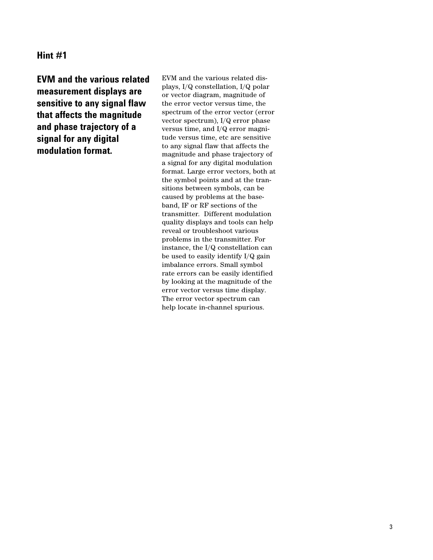**EVM and the various related measurement displays are sensitive to any signal flaw that affects the magnitude and phase trajectory of a signal for any digital modulation format.**

EVM and the various related displays, I/Q constellation, I/Q polar or vector diagram, magnitude of the error vector versus time, the spectrum of the error vector (error vector spectrum), I/Q error phase versus time, and I/Q error magnitude versus time, etc are sensitive to any signal flaw that affects the magnitude and phase trajectory of a signal for any digital modulation format. Large error vectors, both at the symbol points and at the transitions between symbols, can be caused by problems at the baseband, IF or RF sections of the transmitter. Different modulation quality displays and tools can help reveal or troubleshoot various problems in the transmitter. For instance, the I/Q constellation can be used to easily identify I/Q gain imbalance errors. Small symbol rate errors can be easily identified by looking at the magnitude of the error vector versus time display. The error vector spectrum can help locate in-channel spurious.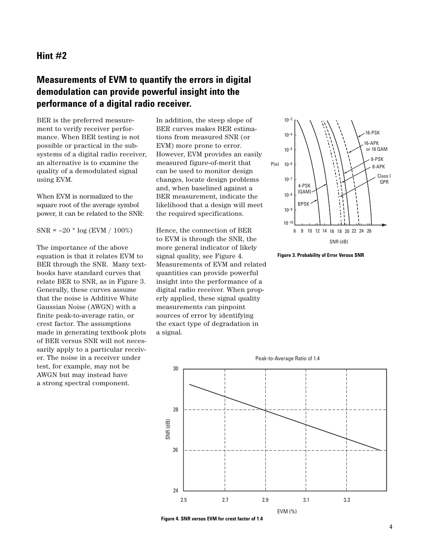## **Measurements of EVM to quantify the errors in digital demodulation can provide powerful insight into the performance of a digital radio receiver.**

BER is the preferred measurement to verify receiver performance. When BER testing is not possible or practical in the subsystems of a digital radio receiver, an alternative is to examine the quality of a demodulated signal using EVM.

When EVM is normalized to the square root of the average symbol power, it can be related to the SNR:

 $SNR = -20 * log (EVM / 100%)$ 

The importance of the above equation is that it relates EVM to BER through the SNR. Many textbooks have standard curves that relate BER to SNR, as in Figure 3. Generally, these curves assume that the noise is Additive White Gaussian Noise (AWGN) with a finite peak-to-average ratio, or crest factor. The assumptions made in generating textbook plots of BER versus SNR will not necessarily apply to a particular receiver. The noise in a receiver under test, for example, may not be AWGN but may instead have a strong spectral component.

In addition, the steep slope of BER curves makes BER estimations from measured SNR (or EVM) more prone to error. However, EVM provides an easily measured figure-of-merit that can be used to monitor design changes, locate design problems and, when baselined against a BER measurement, indicate the likelihood that a design will meet the required specifications.

Hence, the connection of BER to EVM is through the SNR, the more general indicator of likely signal quality, see Figure 4. Measurements of EVM and related quantities can provide powerful insight into the performance of a digital radio receiver. When properly applied, these signal quality measurements can pinpoint sources of error by identifying the exact type of degradation in a signal.







**Figure 4. SNR versus EVM for crest factor of 1.4**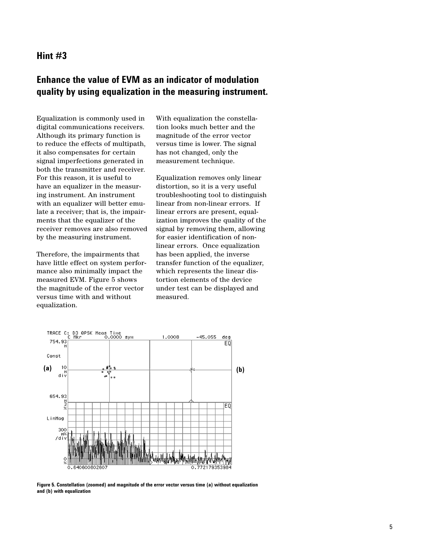## **Enhance the value of EVM as an indicator of modulation quality by using equalization in the measuring instrument.**

Equalization is commonly used in digital communications receivers. Although its primary function is to reduce the effects of multipath, it also compensates for certain signal imperfections generated in both the transmitter and receiver. For this reason, it is useful to have an equalizer in the measuring instrument. An instrument with an equalizer will better emulate a receiver; that is, the impairments that the equalizer of the receiver removes are also removed by the measuring instrument.

Therefore, the impairments that have little effect on system performance also minimally impact the measured EVM. Figure 5 shows the magnitude of the error vector versus time with and without equalization.

With equalization the constellation looks much better and the magnitude of the error vector versus time is lower. The signal has not changed, only the measurement technique.

Equalization removes only linear distortion, so it is a very useful troubleshooting tool to distinguish linear from non-linear errors. If linear errors are present, equalization improves the quality of the signal by removing them, allowing for easier identification of nonlinear errors. Once equalization has been applied, the inverse transfer function of the equalizer, which represents the linear distortion elements of the device under test can be displayed and measured.



**Figure 5. Constellation (zoomed) and magnitude of the error vector versus time (a) without equalization and (b) with equalization**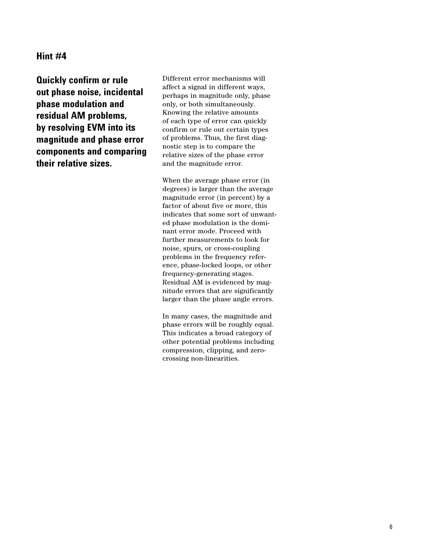**Quickly confirm or rule out phase noise, incidental phase modulation and residual AM problems, by resolving EVM into its magnitude and phase error components and comparing their relative sizes.**

Different error mechanisms will affect a signal in different ways, perhaps in magnitude only, phase only, or both simultaneously. Knowing the relative amounts of each type of error can quickly confirm or rule out certain types of problems. Thus, the first diagnostic step is to compare the relative sizes of the phase error and the magnitude error.

When the average phase error (in degrees) is larger than the average magnitude error (in percent) by a factor of about five or more, this indicates that some sort of unwanted phase modulation is the dominant error mode. Proceed with further measurements to look for noise, spurs, or cross-coupling problems in the frequency reference, phase-locked loops, or other frequency-generating stages. Residual AM is evidenced by magnitude errors that are significantly larger than the phase angle errors.

In many cases, the magnitude and phase errors will be roughly equal. This indicates a broad category of other potential problems including compression, clipping, and zerocrossing non-linearities.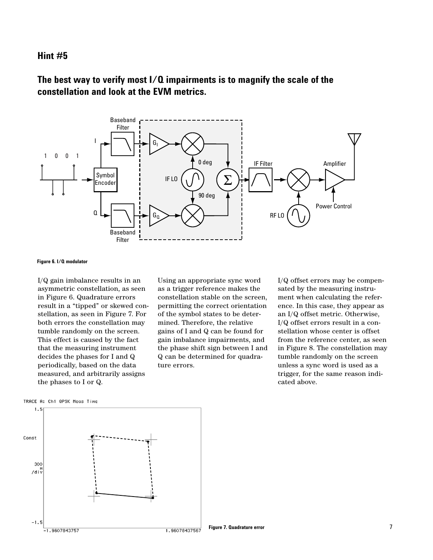## **The best way to verify most I/Q impairments is to magnify the scale of the constellation and look at the EVM metrics.**



#### **Figure 6. I/Q modulator**

I/Q gain imbalance results in an asymmetric constellation, as seen in Figure 6. Quadrature errors result in a "tipped" or skewed constellation, as seen in Figure 7. For both errors the constellation may tumble randomly on the screen. This effect is caused by the fact that the measuring instrument decides the phases for I and Q periodically, based on the data measured, and arbitrarily assigns the phases to I or Q.

Using an appropriate sync word as a trigger reference makes the constellation stable on the screen, permitting the correct orientation of the symbol states to be determined. Therefore, the relative gains of I and Q can be found for gain imbalance impairments, and the phase shift sign between I and Q can be determined for quadrature errors.

I/Q offset errors may be compensated by the measuring instrument when calculating the reference. In this case, they appear as an I/Q offset metric. Otherwise, I/Q offset errors result in a constellation whose center is offset from the reference center, as seen in Figure 8. The constellation may tumble randomly on the screen unless a sync word is used as a trigger, for the same reason indicated above.



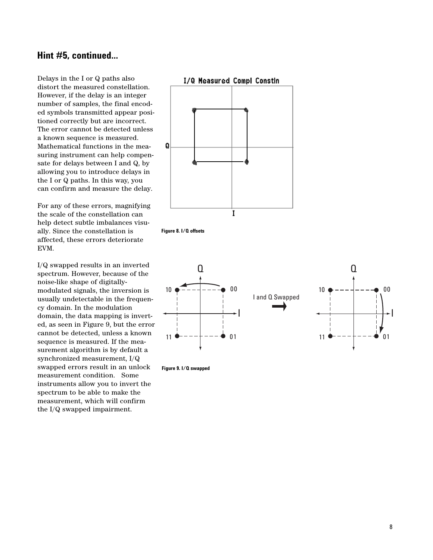### **Hint #5, continued...**

Delays in the I or Q paths also distort the measured constellation. However, if the delay is an integer number of samples, the final encoded symbols transmitted appear positioned correctly but are incorrect. The error cannot be detected unless a known sequence is measured. Mathematical functions in the measuring instrument can help compensate for delays between I and Q, by allowing you to introduce delays in the I or Q paths. In this way, you can confirm and measure the delay.

For any of these errors, magnifying the scale of the constellation can help detect subtle imbalances visually. Since the constellation is affected, these errors deteriorate EVM.

I/Q swapped results in an inverted spectrum. However, because of the noise-like shape of digitallymodulated signals, the inversion is usually undetectable in the frequency domain. In the modulation domain, the data mapping is inverted, as seen in Figure 9, but the error cannot be detected, unless a known sequence is measured. If the measurement algorithm is by default a synchronized measurement, I/Q swapped errors result in an unlock measurement condition. Some instruments allow you to invert the spectrum to be able to make the measurement, which will confirm the I/Q swapped impairment.







**Figure 9. I/Q swapped**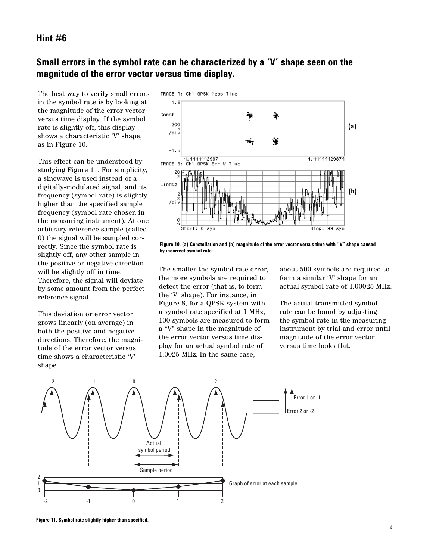## **Small errors in the symbol rate can be characterized by a 'V' shape seen on the magnitude of the error vector versus time display.**

The best way to verify small errors in the symbol rate is by looking at the magnitude of the error vector versus time display. If the symbol rate is slightly off, this display shows a characteristic 'V' shape, as in Figure 10.

This effect can be understood by studying Figure 11. For simplicity, a sinewave is used instead of a digitally-modulated signal, and its frequency (symbol rate) is slightly higher than the specified sample frequency (symbol rate chosen in the measuring instrument). At one arbitrary reference sample (called 0) the signal will be sampled correctly. Since the symbol rate is slightly off, any other sample in the positive or negative direction will be slightly off in time. Therefore, the signal will deviate by some amount from the perfect reference signal.

This deviation or error vector grows linearly (on average) in both the positive and negative directions. Therefore, the magnitude of the error vector versus time shows a characteristic 'V' shape.



**Figure 10. (a) Constellation and (b) magnitude of the error vector versus time with "V" shape caused by incorrect symbol rate**

The smaller the symbol rate error, the more symbols are required to detect the error (that is, to form the 'V' shape). For instance, in Figure 8, for a QPSK system with a symbol rate specified at 1 MHz, 100 symbols are measured to form a "V" shape in the magnitude of the error vector versus time display for an actual symbol rate of 1.0025 MHz. In the same case,

about 500 symbols are required to form a similar 'V' shape for an actual symbol rate of 1.00025 MHz.

The actual transmitted symbol rate can be found by adjusting the symbol rate in the measuring instrument by trial and error until magnitude of the error vector versus time looks flat.



**Figure 11. Symbol rate slightly higher than specified.**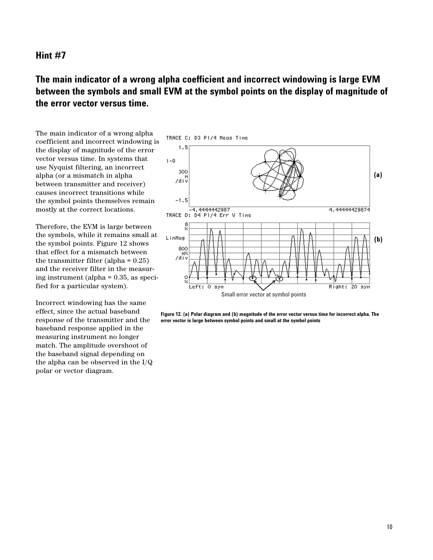## **The main indicator of a wrong alpha coefficient and incorrect windowing is large EVM between the symbols and small EVM at the symbol points on the display of magnitude of the error vector versus time.**

The main indicator of a wrong alpha coefficient and incorrect windowing is the display of magnitude of the error vector versus time. In systems that use Nyquist filtering, an incorrect alpha (or a mismatch in alpha between transmitter and receiver) causes incorrect transitions while the symbol points themselves remain mostly at the correct locations.

Therefore, the EVM is large between the symbols, while it remains small at the symbol points. Figure 12 shows that effect for a mismatch between the transmitter filter (alpha = 0.25) and the receiver filter in the measuring instrument (alpha = 0.35, as specified for a particular system).

Incorrect windowing has the same effect, since the actual baseband response of the transmitter and the baseband response applied in the measuring instrument no longer match. The amplitude overshoot of the baseband signal depending on the alpha can be observed in the I/Q polar or vector diagram.



**Figure 12. (a) Polar diagram and (b) magnitude of the error vector versus time for incorrect alpha. The error vector is large between symbol points and small at the symbol points**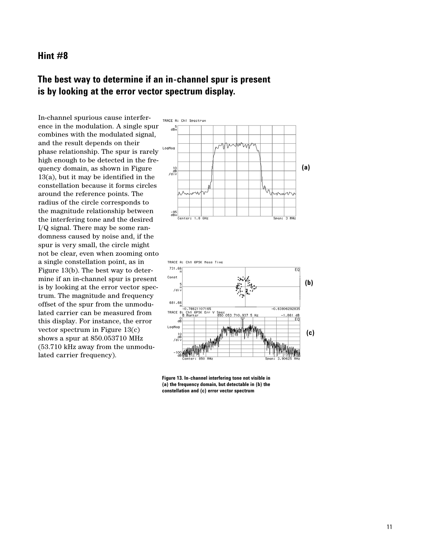## **The best way to determine if an in-channel spur is present is by looking at the error vector spectrum display.**

In-channel spurious cause interference in the modulation. A single spur combines with the modulated signal, and the result depends on their phase relationship. The spur is rarely high enough to be detected in the frequency domain, as shown in Figure 13(a), but it may be identified in the constellation because it forms circles around the reference points. The radius of the circle corresponds to the magnitude relationship between the interfering tone and the desired I/Q signal. There may be some randomness caused by noise and, if the spur is very small, the circle might not be clear, even when zooming onto a single constellation point, as in Figure 13(b). The best way to determine if an in-channel spur is present is by looking at the error vector spectrum. The magnitude and frequency offset of the spur from the unmodulated carrier can be measured from this display. For instance, the error vector spectrum in Figure 13(c) shows a spur at 850.053710 MHz (53.710 kHz away from the unmodulated carrier frequency).



**Figure 13. In-channel interfering tone not visible in (a) the frequency domain, but detectable in (b) the constellation and (c) error vector spectrum**